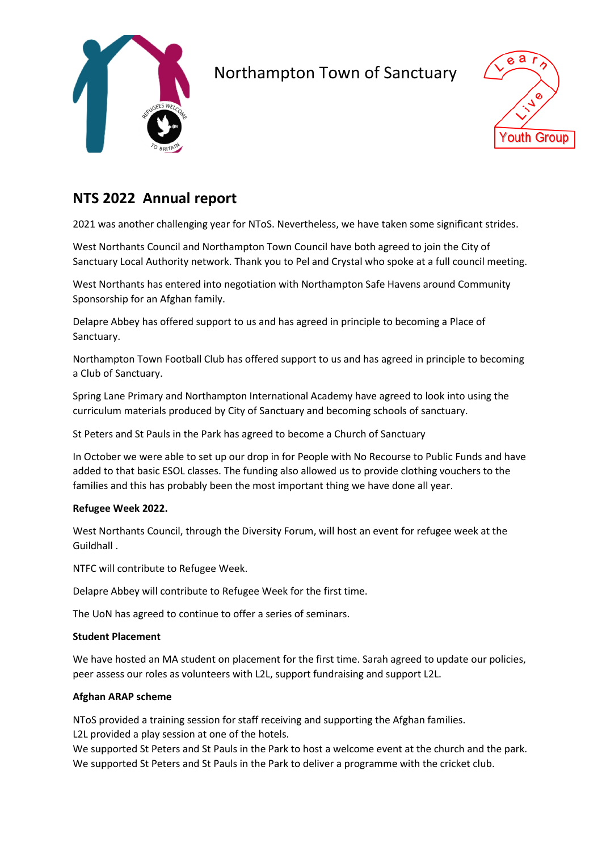

# Northampton Town of Sanctuary



### **NTS 2022 Annual report**

2021 was another challenging year for NToS. Nevertheless, we have taken some significant strides.

West Northants Council and Northampton Town Council have both agreed to join the City of Sanctuary Local Authority network. Thank you to Pel and Crystal who spoke at a full council meeting.

West Northants has entered into negotiation with Northampton Safe Havens around Community Sponsorship for an Afghan family.

Delapre Abbey has offered support to us and has agreed in principle to becoming a Place of Sanctuary.

Northampton Town Football Club has offered support to us and has agreed in principle to becoming a Club of Sanctuary.

Spring Lane Primary and Northampton International Academy have agreed to look into using the curriculum materials produced by City of Sanctuary and becoming schools of sanctuary.

St Peters and St Pauls in the Park has agreed to become a Church of Sanctuary

In October we were able to set up our drop in for People with No Recourse to Public Funds and have added to that basic ESOL classes. The funding also allowed us to provide clothing vouchers to the families and this has probably been the most important thing we have done all year.

#### **Refugee Week 2022.**

West Northants Council, through the Diversity Forum, will host an event for refugee week at the Guildhall .

NTFC will contribute to Refugee Week.

Delapre Abbey will contribute to Refugee Week for the first time.

The UoN has agreed to continue to offer a series of seminars.

### **Student Placement**

We have hosted an MA student on placement for the first time. Sarah agreed to update our policies, peer assess our roles as volunteers with L2L, support fundraising and support L2L.

### **Afghan ARAP scheme**

NToS provided a training session for staff receiving and supporting the Afghan families. L2L provided a play session at one of the hotels.

We supported St Peters and St Pauls in the Park to host a welcome event at the church and the park. We supported St Peters and St Pauls in the Park to deliver a programme with the cricket club.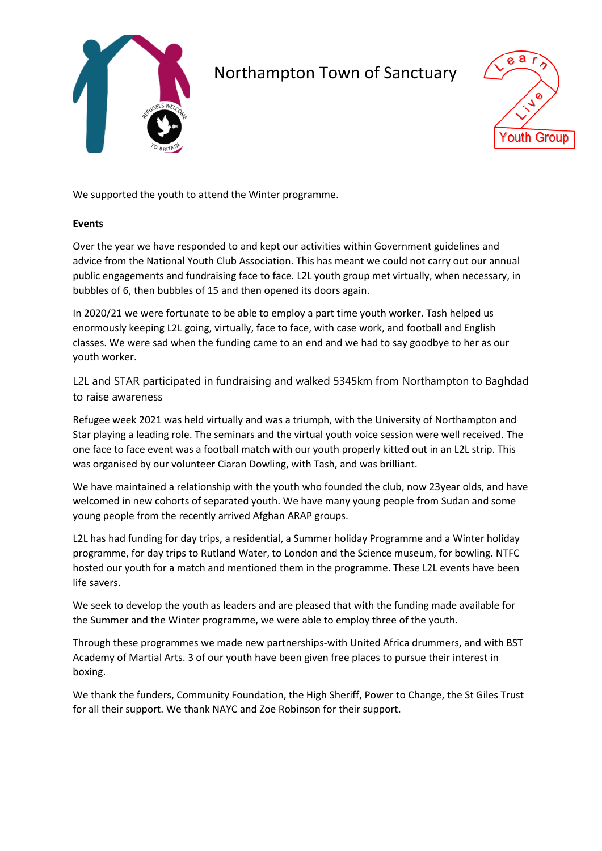

# Northampton Town of Sanctuary



We supported the youth to attend the Winter programme.

### **Events**

Over the year we have responded to and kept our activities within Government guidelines and advice from the National Youth Club Association. This has meant we could not carry out our annual public engagements and fundraising face to face. L2L youth group met virtually, when necessary, in bubbles of 6, then bubbles of 15 and then opened its doors again.

In 2020/21 we were fortunate to be able to employ a part time youth worker. Tash helped us enormously keeping L2L going, virtually, face to face, with case work, and football and English classes. We were sad when the funding came to an end and we had to say goodbye to her as our youth worker.

L2L and STAR participated in fundraising and walked 5345km from Northampton to Baghdad to raise awareness

Refugee week 2021 was held virtually and was a triumph, with the University of Northampton and Star playing a leading role. The seminars and the virtual youth voice session were well received. The one face to face event was a football match with our youth properly kitted out in an L2L strip. This was organised by our volunteer Ciaran Dowling, with Tash, and was brilliant.

We have maintained a relationship with the youth who founded the club, now 23year olds, and have welcomed in new cohorts of separated youth. We have many young people from Sudan and some young people from the recently arrived Afghan ARAP groups.

L2L has had funding for day trips, a residential, a Summer holiday Programme and a Winter holiday programme, for day trips to Rutland Water, to London and the Science museum, for bowling. NTFC hosted our youth for a match and mentioned them in the programme. These L2L events have been life savers.

We seek to develop the youth as leaders and are pleased that with the funding made available for the Summer and the Winter programme, we were able to employ three of the youth.

Through these programmes we made new partnerships-with United Africa drummers, and with BST Academy of Martial Arts. 3 of our youth have been given free places to pursue their interest in boxing.

We thank the funders, Community Foundation, the High Sheriff, Power to Change, the St Giles Trust for all their support. We thank NAYC and Zoe Robinson for their support.